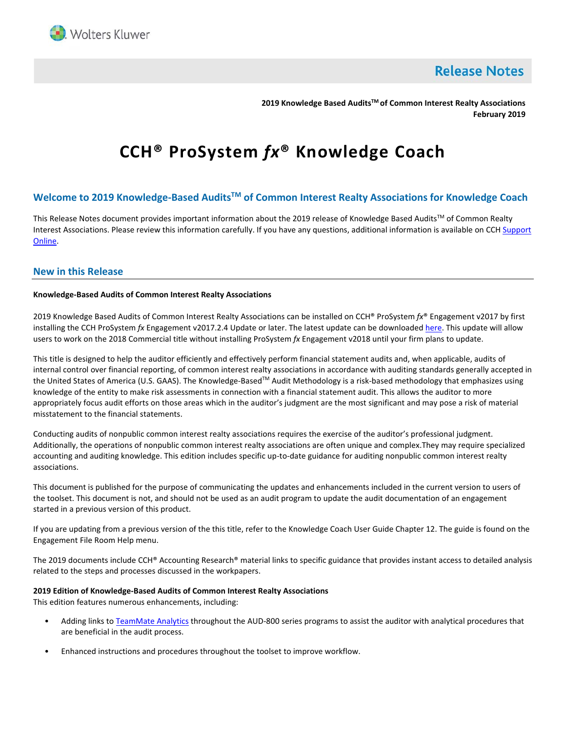

**Release Notes** 

**2019 Knowledge Based AuditsTM of Common Interest Realty Associations February 2019**

# **CCH® ProSystem** *fx***® Knowledge Coach**

# **Welcome to 2019 Knowledge-Based AuditsTM of Common Interest Realty Associations for Knowledge Coach**

This Release Notes document provides important information about the 2019 release of Knowledge Based Audits™ of Common Realty Interest Associations. Please review this information carefully. If you have any questions, additional information is available on CCH Support [Online.](http://support.cch.com/productsupport/)

## **New in this Release**

## **Knowledge-Based Audits of Common Interest Realty Associations**

2019 Knowledge Based Audits of Common Interest Realty Associations can be installed on CCH® ProSystem *fx*® Engagement v2017 by first installing the CCH ProSystem *fx* Engagement v2017.2.4 Update or later. The latest update can be downloade[d here.](https://support.cch.com/updates/Engagement/release2017/release2017.aspx) This update will allow users to work on the 2018 Commercial title without installing ProSystem *fx* Engagement v2018 until your firm plans to update.

This title is designed to help the auditor efficiently and effectively perform financial statement audits and, when applicable, audits of internal control over financial reporting, of common interest realty associations in accordance with auditing standards generally accepted in the United States of America (U.S. GAAS). The Knowledge-Based™ Audit Methodology is a risk-based methodology that emphasizes using knowledge of the entity to make risk assessments in connection with a financial statement audit. This allows the auditor to more appropriately focus audit efforts on those areas which in the auditor's judgment are the most significant and may pose a risk of material misstatement to the financial statements.

Conducting audits of nonpublic common interest realty associations requires the exercise of the auditor's professional judgment. Additionally, the operations of nonpublic common interest realty associations are often unique and complex.They may require specialized accounting and auditing knowledge. This edition includes specific up-to-date guidance for auditing nonpublic common interest realty associations.

This document is published for the purpose of communicating the updates and enhancements included in the current version to users of the toolset. This document is not, and should not be used as an audit program to update the audit documentation of an engagement started in a previous version of this product.

If you are updating from a previous version of the this title, refer to the Knowledge Coach User Guide Chapter 12. The guide is found on the Engagement File Room Help menu.

The 2019 documents include CCH® Accounting Research® material links to specific guidance that provides instant access to detailed analysis related to the steps and processes discussed in the workpapers.

## **2019 Edition of Knowledge-Based Audits of Common Interest Realty Associations**

This edition features numerous enhancements, including:

- Adding links t[o TeamMate Analytics](http://engagetax.wolterskluwer.com/l/339101/2018-03-29/2w349) throughout the AUD-800 series programs to assist the auditor with analytical procedures that are beneficial in the audit process.
- Enhanced instructions and procedures throughout the toolset to improve workflow.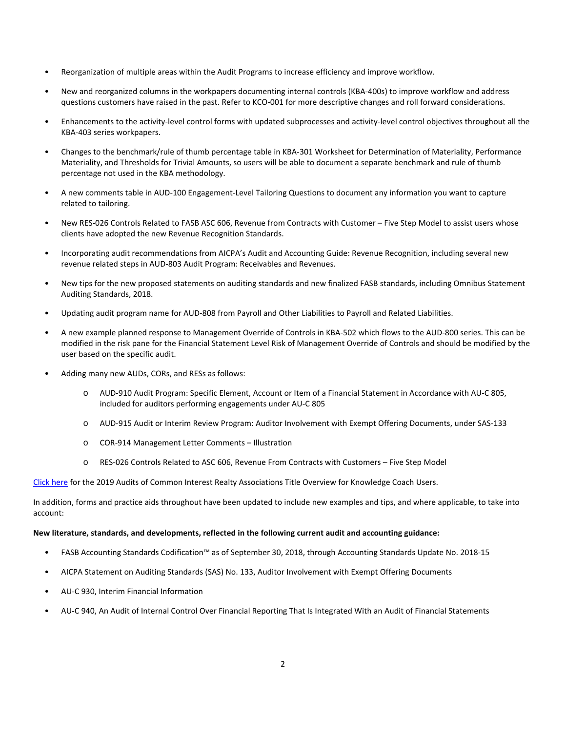- Reorganization of multiple areas within the Audit Programs to increase efficiency and improve workflow.
- New and reorganized columns in the workpapers documenting internal controls (KBA-400s) to improve workflow and address questions customers have raised in the past. Refer to KCO-001 for more descriptive changes and roll forward considerations.
- Enhancements to the activity-level control forms with updated subprocesses and activity-level control objectives throughout all the KBA-403 series workpapers.
- Changes to the benchmark/rule of thumb percentage table in KBA-301 Worksheet for Determination of Materiality, Performance Materiality, and Thresholds for Trivial Amounts, so users will be able to document a separate benchmark and rule of thumb percentage not used in the KBA methodology.
- A new comments table in AUD-100 Engagement-Level Tailoring Questions to document any information you want to capture related to tailoring.
- New RES-026 Controls Related to FASB ASC 606, Revenue from Contracts with Customer Five Step Model to assist users whose clients have adopted the new Revenue Recognition Standards.
- Incorporating audit recommendations from AICPA's Audit and Accounting Guide: Revenue Recognition, including several new revenue related steps in AUD-803 Audit Program: Receivables and Revenues.
- New tips for the new proposed statements on auditing standards and new finalized FASB standards, including Omnibus Statement Auditing Standards, 2018.
- Updating audit program name for AUD-808 from Payroll and Other Liabilities to Payroll and Related Liabilities.
- A new example planned response to Management Override of Controls in KBA-502 which flows to the AUD-800 series. This can be modified in the risk pane for the Financial Statement Level Risk of Management Override of Controls and should be modified by the user based on the specific audit.
- Adding many new AUDs, CORs, and RESs as follows:
	- o AUD-910 Audit Program: Specific Element, Account or Item of a Financial Statement in Accordance with AU-C 805, included for auditors performing engagements under AU-C 805
	- o AUD-915 Audit or Interim Review Program: Auditor Involvement with Exempt Offering Documents, under SAS-133
	- o COR-914 Management Letter Comments Illustration
	- o RES-026 Controls Related to ASC 606, Revenue From Contracts with Customers Five Step Model

[Click here](http://support.cch.com/updates/KnowledgeCoach/pdf/guides_tab/2019%20CIRA%20Audit%20Title%20Overview%20for%20Knowledge%20Coach%20Users.pdf) for the 2019 Audits of Common Interest Realty Associations Title Overview for Knowledge Coach Users.

In addition, forms and practice aids throughout have been updated to include new examples and tips, and where applicable, to take into account:

## **New literature, standards, and developments, reflected in the following current audit and accounting guidance:**

- FASB Accounting Standards Codification™ as of September 30, 2018, through Accounting Standards Update No. 2018-15
- AICPA Statement on Auditing Standards (SAS) No. 133, Auditor Involvement with Exempt Offering Documents
- AU-C 930, Interim Financial Information
- AU-C 940, An Audit of Internal Control Over Financial Reporting That Is Integrated With an Audit of Financial Statements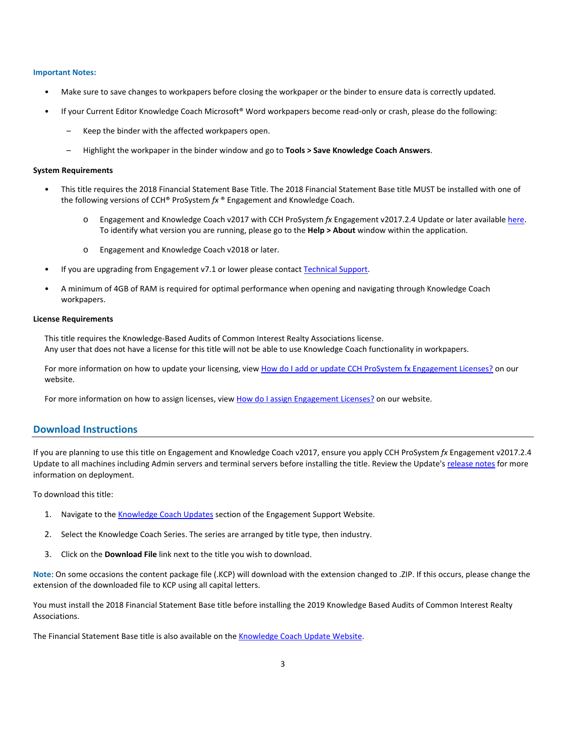#### **Important Notes:**

- Make sure to save changes to workpapers before closing the workpaper or the binder to ensure data is correctly updated.
- If your Current Editor Knowledge Coach Microsoft® Word workpapers become read-only or crash, please do the following:
	- Keep the binder with the affected workpapers open.
	- Highlight the workpaper in the binder window and go to **Tools > Save Knowledge Coach Answers**.

#### **System Requirements**

- This title requires the 2018 Financial Statement Base Title. The 2018 Financial Statement Base title MUST be installed with one of the following versions of CCH® ProSystem *fx* ® Engagement and Knowledge Coach.
	- o Engagement and Knowledge Coach v2017 with CCH ProSystem *fx* Engagement v2017.2.4 Update or later availabl[e here.](https://support.cch.com/updates/Engagement/release2017/release2017.aspx)  To identify what version you are running, please go to the **Help > About** window within the application.
	- o Engagement and Knowledge Coach v2018 or later.
- If you are upgrading from Engagement v7.1 or lower please contac[t Technical Support.](https://support.cch.com/contact)
- A minimum of 4GB of RAM is required for optimal performance when opening and navigating through Knowledge Coach workpapers.

#### **License Requirements**

This title requires the Knowledge-Based Audits of Common Interest Realty Associations license. Any user that does not have a license for this title will not be able to use Knowledge Coach functionality in workpapers.

For more information on how to update your licensing, view [How do I add or update CCH ProSystem fx Engagement Licenses?](https://support.cch.com/kb/solution.aspx/sw3937) on our website.

For more information on how to assign licenses, view [How do I assign Engagement Licenses?](https://support.cch.com/kb/solution.aspx/sw3943) on our website.

## **Download Instructions**

If you are planning to use this title on Engagement and Knowledge Coach v2017, ensure you apply CCH ProSystem *fx* Engagement v2017.2.4 Update to all machines including Admin servers and terminal servers before installing the title. Review the Update's [release notes](https://d2iceilwdglxpz.cloudfront.net/release_notes/CCH%20ProSystem%20fx%20Engagement%20Release%20Notes%202017.2.4.pdf) for more information on deployment.

To download this title:

- 1. Navigate to the [Knowledge Coach Updates](http://support.cch.com/updates/KnowledgeCoach) section of the Engagement Support Website.
- 2. Select the Knowledge Coach Series. The series are arranged by title type, then industry.
- 3. Click on the **Download File** link next to the title you wish to download.

**Note**: On some occasions the content package file (.KCP) will download with the extension changed to .ZIP. If this occurs, please change the extension of the downloaded file to KCP using all capital letters.

You must install the 2018 Financial Statement Base title before installing the 2019 Knowledge Based Audits of Common Interest Realty Associations.

The Financial Statement Base title is also available on th[e Knowledge Coach Update Website.](http://support.cch.com/updates/KnowledgeCoach)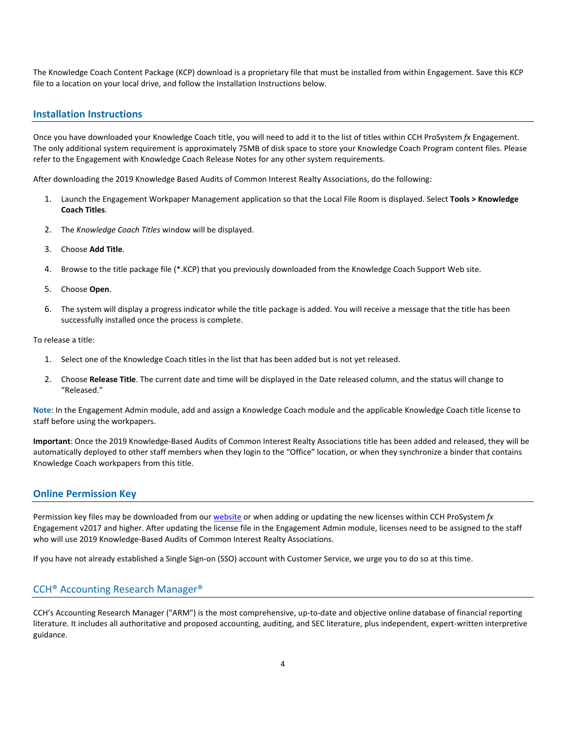The Knowledge Coach Content Package (KCP) download is a proprietary file that must be installed from within Engagement. Save this KCP file to a location on your local drive, and follow the Installation Instructions below.

## **Installation Instructions**

Once you have downloaded your Knowledge Coach title, you will need to add it to the list of titles within CCH ProSystem *fx* Engagement. The only additional system requirement is approximately 75MB of disk space to store your Knowledge Coach Program content files. Please refer to the Engagement with Knowledge Coach Release Notes for any other system requirements.

After downloading the 2019 Knowledge Based Audits of Common Interest Realty Associations, do the following:

- 1. Launch the Engagement Workpaper Management application so that the Local File Room is displayed. Select **Tools > Knowledge Coach Titles**.
- 2. The *Knowledge Coach Titles* window will be displayed.
- 3. Choose **Add Title**.
- 4. Browse to the title package file (\*.KCP) that you previously downloaded from the Knowledge Coach Support Web site.
- 5. Choose **Open**.
- 6. The system will display a progress indicator while the title package is added. You will receive a message that the title has been successfully installed once the process is complete.

To release a title:

- 1. Select one of the Knowledge Coach titles in the list that has been added but is not yet released.
- 2. Choose **Release Title**. The current date and time will be displayed in the Date released column, and the status will change to "Released."

**Note**: In the Engagement Admin module, add and assign a Knowledge Coach module and the applicable Knowledge Coach title license to staff before using the workpapers.

**Important**: Once the 2019 Knowledge-Based Audits of Common Interest Realty Associations title has been added and released, they will be automatically deployed to other staff members when they login to the "Office" location, or when they synchronize a binder that contains Knowledge Coach workpapers from this title.

## **Online Permission Key**

Permission key files may be downloaded from our [website](https://prosystemfxsupport.tax.cchgroup.com/permkey/download.aspx) or when adding or updating the new licenses within CCH ProSystem *fx* Engagement v2017 and higher. After updating the license file in the Engagement Admin module, licenses need to be assigned to the staff who will use 2019 Knowledge-Based Audits of Common Interest Realty Associations.

If you have not already established a Single Sign-on (SSO) account with Customer Service, we urge you to do so at this time.

## CCH® Accounting Research Manager®

CCH's Accounting Research Manager ("ARM") is the most comprehensive, up-to-date and objective online database of financial reporting literature. It includes all authoritative and proposed accounting, auditing, and SEC literature, plus independent, expert-written interpretive guidance.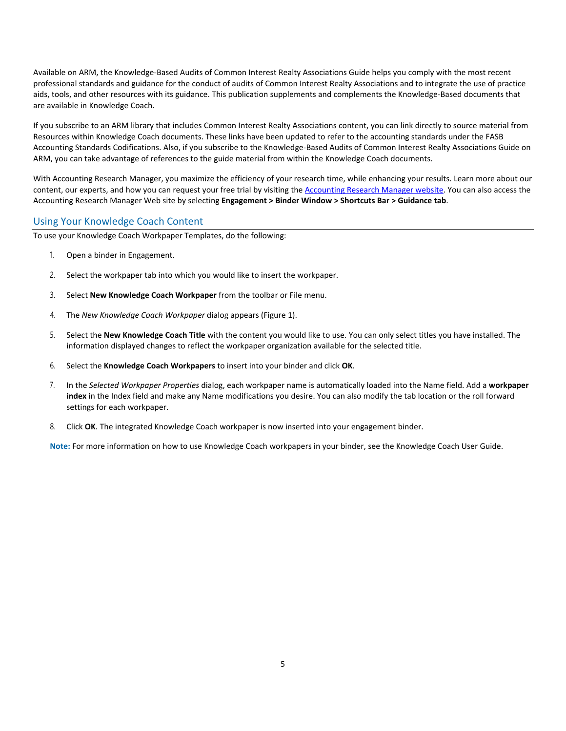Available on ARM, the Knowledge-Based Audits of Common Interest Realty Associations Guide helps you comply with the most recent professional standards and guidance for the conduct of audits of Common Interest Realty Associations and to integrate the use of practice aids, tools, and other resources with its guidance. This publication supplements and complements the Knowledge-Based documents that are available in Knowledge Coach.

If you subscribe to an ARM library that includes Common Interest Realty Associations content, you can link directly to source material from Resources within Knowledge Coach documents. These links have been updated to refer to the accounting standards under the FASB Accounting Standards Codifications. Also, if you subscribe to the Knowledge-Based Audits of Common Interest Realty Associations Guide on ARM, you can take advantage of references to the guide material from within the Knowledge Coach documents.

With Accounting Research Manager, you maximize the efficiency of your research time, while enhancing your results. Learn more about our content, our experts, and how you can request your free trial by visiting the [Accounting Research Manager website.](http://www.accountingresearchmanager.com/) You can also access the Accounting Research Manager Web site by selecting **Engagement > Binder Window > Shortcuts Bar > Guidance tab**.

## Using Your Knowledge Coach Content

To use your Knowledge Coach Workpaper Templates, do the following:

- 1. Open a binder in Engagement.
- 2. Select the workpaper tab into which you would like to insert the workpaper.
- 3. Select **New Knowledge Coach Workpaper** from the toolbar or File menu.
- 4. The *New Knowledge Coach Workpaper* dialog appears (Figure 1).
- 5. Select the **New Knowledge Coach Title** with the content you would like to use. You can only select titles you have installed. The information displayed changes to reflect the workpaper organization available for the selected title.
- 6. Select the **Knowledge Coach Workpapers** to insert into your binder and click **OK**.
- 7. In the *Selected Workpaper Properties* dialog, each workpaper name is automatically loaded into the Name field. Add a **workpaper index** in the Index field and make any Name modifications you desire. You can also modify the tab location or the roll forward settings for each workpaper.
- 8. Click **OK**. The integrated Knowledge Coach workpaper is now inserted into your engagement binder.

**Note:** For more information on how to use Knowledge Coach workpapers in your binder, see the Knowledge Coach User Guide.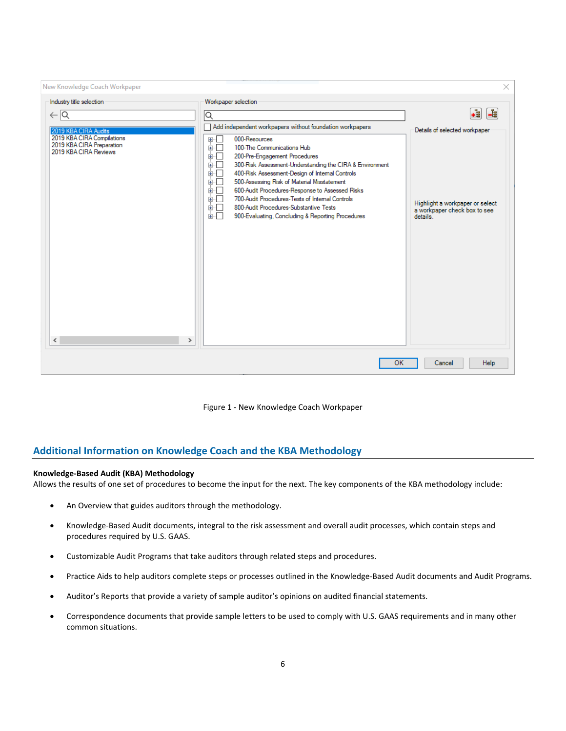

Figure 1 - New Knowledge Coach Workpaper

## **Additional Information on Knowledge Coach and the KBA Methodology**

## **Knowledge-Based Audit (KBA) Methodology**

Allows the results of one set of procedures to become the input for the next. The key components of the KBA methodology include:

- An Overview that guides auditors through the methodology.
- Knowledge-Based Audit documents, integral to the risk assessment and overall audit processes, which contain steps and procedures required by U.S. GAAS.
- Customizable Audit Programs that take auditors through related steps and procedures.
- Practice Aids to help auditors complete steps or processes outlined in the Knowledge-Based Audit documents and Audit Programs.
- Auditor's Reports that provide a variety of sample auditor's opinions on audited financial statements.
- Correspondence documents that provide sample letters to be used to comply with U.S. GAAS requirements and in many other common situations.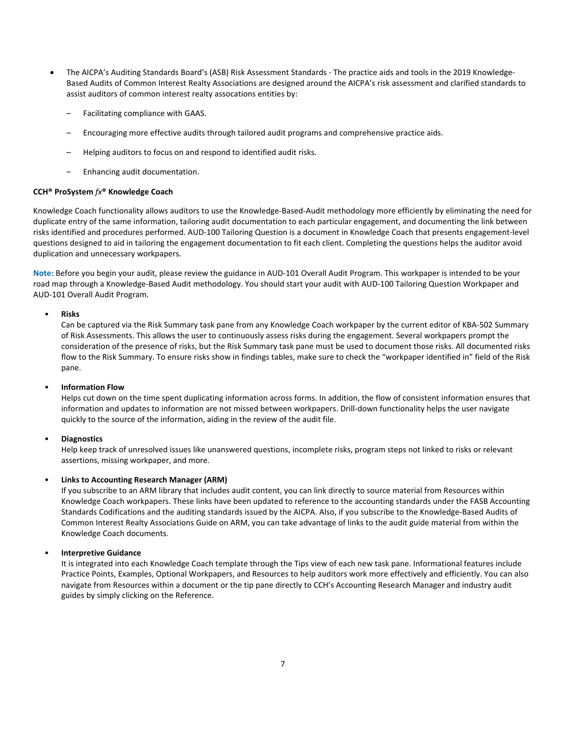- The AICPA's Auditing Standards Board's (ASB) Risk Assessment Standards The practice aids and tools in the 2019 Knowledge-Based Audits of Common Interest Realty Associations are designed around the AICPA's risk assessment and clarified standards to assist auditors of common interest realty assocations entities by:
	- Facilitating compliance with GAAS.
	- Encouraging more effective audits through tailored audit programs and comprehensive practice aids.
	- Helping auditors to focus on and respond to identified audit risks.
	- Enhancing audit documentation.

## **CCH® ProSystem** *fx***® Knowledge Coach**

Knowledge Coach functionality allows auditors to use the Knowledge-Based-Audit methodology more efficiently by eliminating the need for duplicate entry of the same information, tailoring audit documentation to each particular engagement, and documenting the link between risks identified and procedures performed. AUD-100 Tailoring Question is a document in Knowledge Coach that presents engagement-level questions designed to aid in tailoring the engagement documentation to fit each client. Completing the questions helps the auditor avoid duplication and unnecessary workpapers.

**Note:** Before you begin your audit, please review the guidance in AUD-101 Overall Audit Program. This workpaper is intended to be your road map through a Knowledge-Based Audit methodology. You should start your audit with AUD-100 Tailoring Question Workpaper and AUD-101 Overall Audit Program.

## • **Risks**

Can be captured via the Risk Summary task pane from any Knowledge Coach workpaper by the current editor of KBA-502 Summary of Risk Assessments. This allows the user to continuously assess risks during the engagement. Several workpapers prompt the consideration of the presence of risks, but the Risk Summary task pane must be used to document those risks. All documented risks flow to the Risk Summary. To ensure risks show in findings tables, make sure to check the "workpaper identified in" field of the Risk pane.

## • **Information Flow**

Helps cut down on the time spent duplicating information across forms. In addition, the flow of consistent information ensures that information and updates to information are not missed between workpapers. Drill-down functionality helps the user navigate quickly to the source of the information, aiding in the review of the audit file.

## • **Diagnostics**

Help keep track of unresolved issues like unanswered questions, incomplete risks, program steps not linked to risks or relevant assertions, missing workpaper, and more.

## • **Links to Accounting Research Manager (ARM)**

If you subscribe to an ARM library that includes audit content, you can link directly to source material from Resources within Knowledge Coach workpapers. These links have been updated to reference to the accounting standards under the FASB Accounting Standards Codifications and the auditing standards issued by the AICPA. Also, if you subscribe to the Knowledge-Based Audits of Common Interest Realty Associations Guide on ARM, you can take advantage of links to the audit guide material from within the Knowledge Coach documents.

## • **Interpretive Guidance**

It is integrated into each Knowledge Coach template through the Tips view of each new task pane. Informational features include Practice Points, Examples, Optional Workpapers, and Resources to help auditors work more effectively and efficiently. You can also navigate from Resources within a document or the tip pane directly to CCH's Accounting Research Manager and industry audit guides by simply clicking on the Reference.